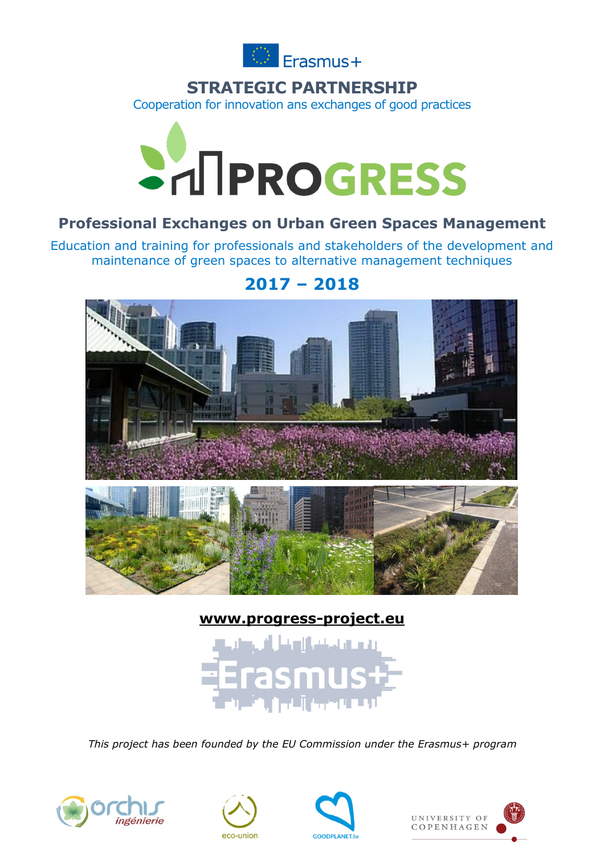

## **STRATEGIC PARTNERSHIP**

Cooperation for innovation ans exchanges of good practices



### **Professional Exchanges on Urban Green Spaces Management**

Education and training for professionals and stakeholders of the development and maintenance of green spaces to alternative management techniques

# **2017 – 2018**



**www.progress-project.eu**

والرسالة المراشر أزاره بليل

*This project has been founded by the EU Commission under the Erasmus+ program*







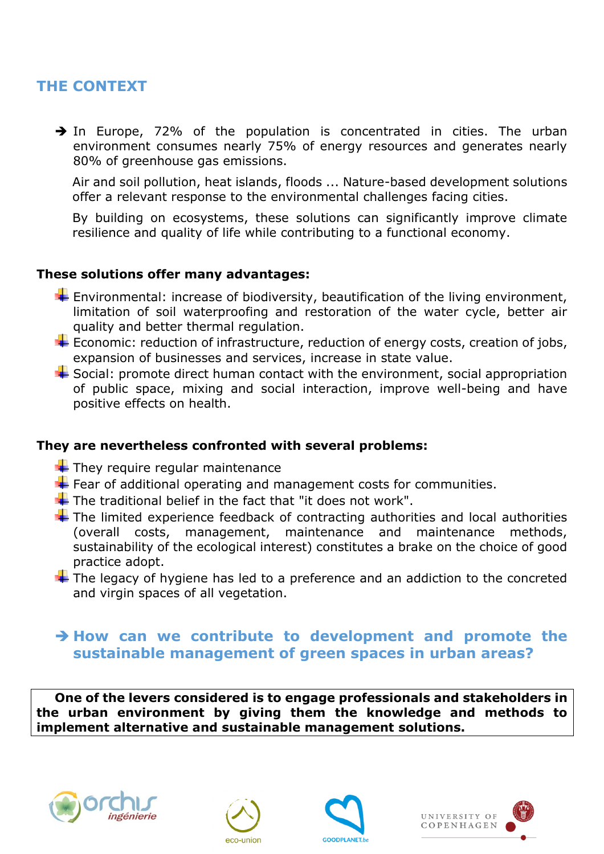### **THE CONTEXT**

 $\rightarrow$  In Europe, 72% of the population is concentrated in cities. The urban environment consumes nearly 75% of energy resources and generates nearly 80% of greenhouse gas emissions.

Air and soil pollution, heat islands, floods ... Nature-based development solutions offer a relevant response to the environmental challenges facing cities.

By building on ecosystems, these solutions can significantly improve climate resilience and quality of life while contributing to a functional economy.

#### **These solutions offer many advantages:**

- $\blacktriangleright$  Environmental: increase of biodiversity, beautification of the living environment, limitation of soil waterproofing and restoration of the water cycle, better air quality and better thermal regulation.
- $\blacktriangleright$  Economic: reduction of infrastructure, reduction of energy costs, creation of jobs, expansion of businesses and services, increase in state value.
- $\div$  Social: promote direct human contact with the environment, social appropriation of public space, mixing and social interaction, improve well-being and have positive effects on health.

#### **They are nevertheless confronted with several problems:**

- $\leftarrow$  They require regular maintenance
- $\div$  Fear of additional operating and management costs for communities.
- $\leftarrow$  The traditional belief in the fact that "it does not work".
- $\blacktriangleright$  The limited experience feedback of contracting authorities and local authorities (overall costs, management, maintenance and maintenance methods, sustainability of the ecological interest) constitutes a brake on the choice of good practice adopt.
- $\ddot{\phantom{1}}$  The legacy of hygiene has led to a preference and an addiction to the concreted and virgin spaces of all vegetation.

### **How can we contribute to development and promote the sustainable management of green spaces in urban areas?**

**One of the levers considered is to engage professionals and stakeholders in the urban environment by giving them the knowledge and methods to implement alternative and sustainable management solutions.**







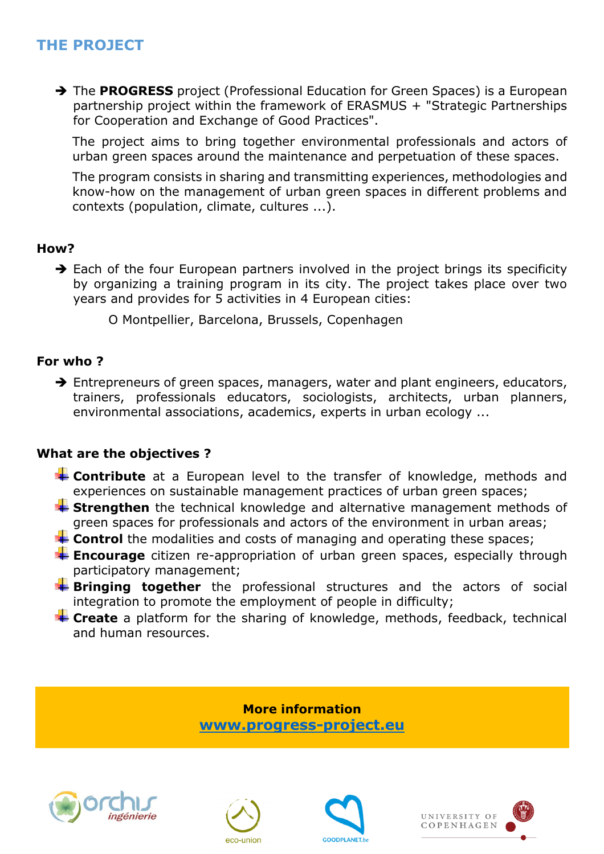### **THE PROJECT**

→ The **PROGRESS** project (Professional Education for Green Spaces) is a European partnership project within the framework of ERASMUS + "Strategic Partnerships for Cooperation and Exchange of Good Practices".

The project aims to bring together environmental professionals and actors of urban green spaces around the maintenance and perpetuation of these spaces.

The program consists in sharing and transmitting experiences, methodologies and know-how on the management of urban green spaces in different problems and contexts (population, climate, cultures ...).

#### **How?**

 $\rightarrow$  Each of the four European partners involved in the project brings its specificity by organizing a training program in its city. The project takes place over two years and provides for 5 activities in 4 European cities:

O Montpellier, Barcelona, Brussels, Copenhagen

#### **For who ?**

→ Entrepreneurs of green spaces, managers, water and plant engineers, educators, trainers, professionals educators, sociologists, architects, urban planners, environmental associations, academics, experts in urban ecology ...

#### **What are the objectives ?**

- **Contribute** at a European level to the transfer of knowledge, methods and experiences on sustainable management practices of urban green spaces;
- **Strengthen** the technical knowledge and alternative management methods of green spaces for professionals and actors of the environment in urban areas;
- **Control** the modalities and costs of managing and operating these spaces;
- **Encourage** citizen re-appropriation of urban green spaces, especially through participatory management;
- **Example 5 Finging together** the professional structures and the actors of social integration to promote the employment of people in difficulty;

**Create** a platform for the sharing of knowledge, methods, feedback, technical and human resources.

> **More information [www.progress-project.eu](http://www.progress-project.eu/)**